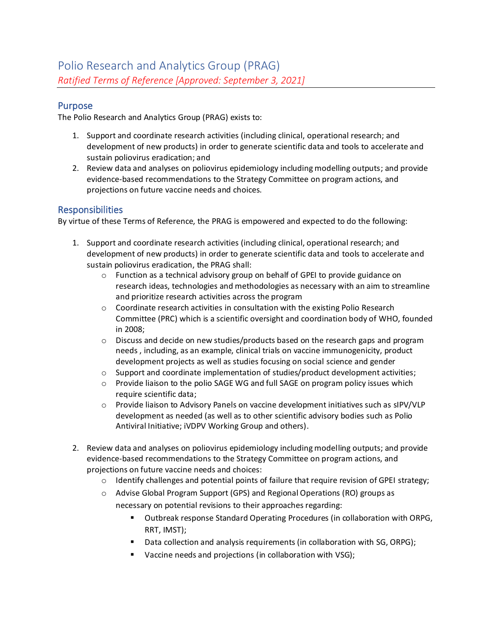### Purpose

The Polio Research and Analytics Group (PRAG) exists to:

- 1. Support and coordinate research activities (including clinical, operational research; and development of new products) in order to generate scientific data and tools to accelerate and sustain poliovirus eradication; and
- 2. Review data and analyses on poliovirus epidemiology including modelling outputs; and provide evidence-based recommendations to the Strategy Committee on program actions, and projections on future vaccine needs and choices.

### Responsibilities

By virtue of these Terms of Reference, the PRAG is empowered and expected to do the following:

- 1. Support and coordinate research activities (including clinical, operational research; and development of new products) in order to generate scientific data and tools to accelerate and sustain poliovirus eradication, the PRAG shall:
	- $\circ$  Function as a technical advisory group on behalf of GPEI to provide guidance on research ideas, technologies and methodologies as necessary with an aim to streamline and prioritize research activities across the program
	- $\circ$  Coordinate research activities in consultation with the existing Polio Research Committee (PRC) which is a scientific oversight and coordination body of WHO, founded in 2008;
	- $\circ$  Discuss and decide on new studies/products based on the research gaps and program needs , including, as an example, clinical trials on vaccine immunogenicity, product development projects as well as studies focusing on social science and gender
	- $\circ$  Support and coordinate implementation of studies/product development activities;
	- $\circ$  Provide liaison to the polio SAGE WG and full SAGE on program policy issues which require scientific data;
	- o Provide liaison to Advisory Panels on vaccine development initiatives such as sIPV/VLP development as needed (as well as to other scientific advisory bodies such as Polio Antiviral Initiative; iVDPV Working Group and others).
- 2. Review data and analyses on poliovirus epidemiology including modelling outputs; and provide evidence-based recommendations to the Strategy Committee on program actions, and projections on future vaccine needs and choices:
	- $\circ$  Identify challenges and potential points of failure that require revision of GPEI strategy;
	- o Advise Global Program Support (GPS) and Regional Operations (RO) groups as necessary on potential revisions to their approaches regarding:
		- Outbreak response Standard Operating Procedures (in collaboration with ORPG, RRT, IMST);
		- Data collection and analysis requirements (in collaboration with SG, ORPG);
		- Vaccine needs and projections (in collaboration with VSG);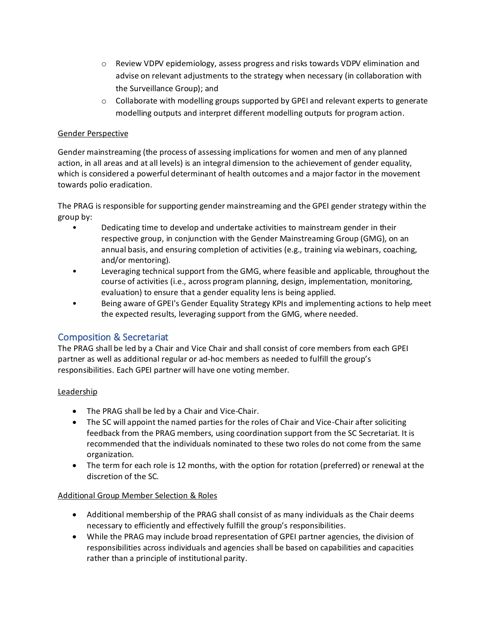- o Review VDPV epidemiology, assess progress and risks towards VDPV elimination and advise on relevant adjustments to the strategy when necessary (in collaboration with the Surveillance Group); and
- $\circ$  Collaborate with modelling groups supported by GPEI and relevant experts to generate modelling outputs and interpret different modelling outputs for program action.

### Gender Perspective

Gender mainstreaming (the process of assessing implications for women and men of any planned action, in all areas and at all levels) is an integral dimension to the achievement of gender equality, which is considered a powerful determinant of health outcomes and a major factor in the movement towards polio eradication.

The PRAG is responsible for supporting gender mainstreaming and the GPEI gender strategy within the group by:

- Dedicating time to develop and undertake activities to mainstream gender in their respective group, in conjunction with the Gender Mainstreaming Group (GMG), on an annual basis, and ensuring completion of activities (e.g., training via webinars, coaching, and/or mentoring).
- Leveraging technical support from the GMG, where feasible and applicable, throughout the course of activities (i.e., across program planning, design, implementation, monitoring, evaluation) to ensure that a gender equality lens is being applied.
- Being aware of GPEI's Gender Equality Strategy KPIs and implementing actions to help meet the expected results, leveraging support from the GMG, where needed.

## Composition & Secretariat

The PRAG shall be led by a Chair and Vice Chair and shall consist of core members from each GPEI partner as well as additional regular or ad-hoc members as needed to fulfill the group's responsibilities. Each GPEI partner will have one voting member.

### Leadership

- The PRAG shall be led by a Chair and Vice-Chair.
- The SC will appoint the named parties for the roles of Chair and Vice-Chair after soliciting feedback from the PRAG members, using coordination support from the SC Secretariat. It is recommended that the individuals nominated to these two roles do not come from the same organization.
- The term for each role is 12 months, with the option for rotation (preferred) or renewal at the discretion of the SC.

### Additional Group Member Selection & Roles

- Additional membership of the PRAG shall consist of as many individuals as the Chair deems necessary to efficiently and effectively fulfill the group's responsibilities.
- While the PRAG may include broad representation of GPEI partner agencies, the division of responsibilities across individuals and agencies shall be based on capabilities and capacities rather than a principle of institutional parity.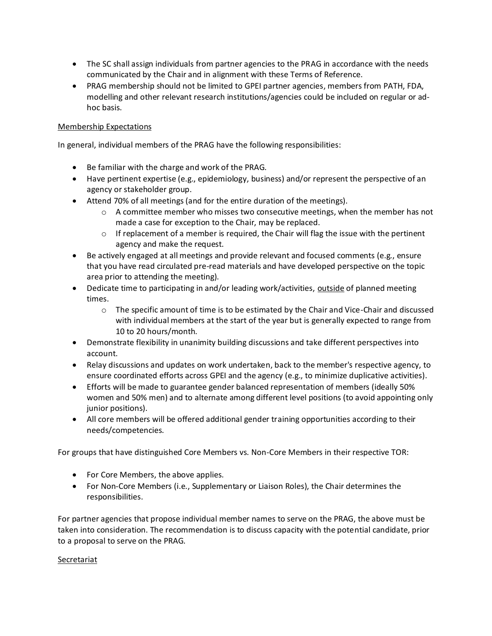- The SC shall assign individuals from partner agencies to the PRAG in accordance with the needs communicated by the Chair and in alignment with these Terms of Reference.
- PRAG membership should not be limited to GPEI partner agencies, members from PATH, FDA, modelling and other relevant research institutions/agencies could be included on regular or adhoc basis.

### Membership Expectations

In general, individual members of the PRAG have the following responsibilities:

- Be familiar with the charge and work of the PRAG.
- Have pertinent expertise (e.g., epidemiology, business) and/or represent the perspective of an agency or stakeholder group.
- Attend 70% of all meetings (and for the entire duration of the meetings).
	- $\circ$  A committee member who misses two consecutive meetings, when the member has not made a case for exception to the Chair, may be replaced.
	- $\circ$  If replacement of a member is required, the Chair will flag the issue with the pertinent agency and make the request.
- Be actively engaged at all meetings and provide relevant and focused comments (e.g., ensure that you have read circulated pre-read materials and have developed perspective on the topic area prior to attending the meeting).
- Dedicate time to participating in and/or leading work/activities, outside of planned meeting times.
	- $\circ$  The specific amount of time is to be estimated by the Chair and Vice-Chair and discussed with individual members at the start of the year but is generally expected to range from 10 to 20 hours/month.
- Demonstrate flexibility in unanimity building discussions and take different perspectives into account.
- Relay discussions and updates on work undertaken, back to the member's respective agency, to ensure coordinated efforts across GPEI and the agency (e.g., to minimize duplicative activities).
- Efforts will be made to guarantee gender balanced representation of members (ideally 50% women and 50% men) and to alternate among different level positions (to avoid appointing only junior positions).
- All core members will be offered additional gender training opportunities according to their needs/competencies.

For groups that have distinguished Core Members vs. Non-Core Members in their respective TOR:

- For Core Members, the above applies.
- For Non-Core Members (i.e., Supplementary or Liaison Roles), the Chair determines the responsibilities.

For partner agencies that propose individual member names to serve on the PRAG, the above must be taken into consideration. The recommendation is to discuss capacity with the potential candidate, prior to a proposal to serve on the PRAG.

### Secretariat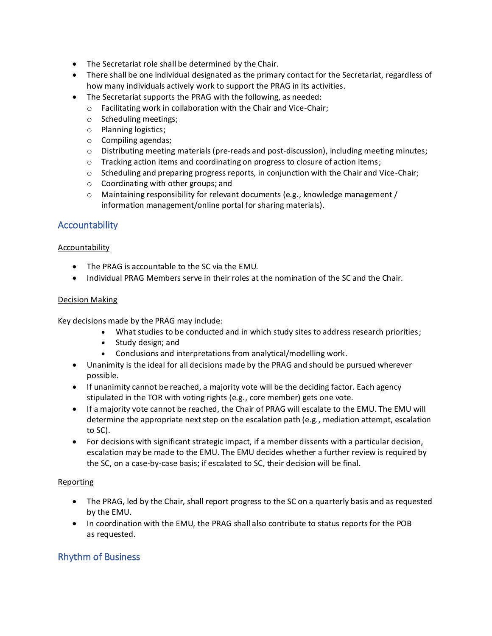- The Secretariat role shall be determined by the Chair.
- There shall be one individual designated as the primary contact for the Secretariat, regardless of how many individuals actively work to support the PRAG in its activities.
- The Secretariat supports the PRAG with the following, as needed:
	- o Facilitating work in collaboration with the Chair and Vice-Chair;
	- o Scheduling meetings;
	- o Planning logistics;
	- o Compiling agendas;
	- $\circ$  Distributing meeting materials (pre-reads and post-discussion), including meeting minutes;
	- $\circ$  Tracking action items and coordinating on progress to closure of action items;
	- $\circ$  Scheduling and preparing progress reports, in conjunction with the Chair and Vice-Chair;
	- o Coordinating with other groups; and
	- o Maintaining responsibility for relevant documents (e.g., knowledge management / information management/online portal for sharing materials).

## **Accountability**

### **Accountability**

- The PRAG is accountable to the SC via the EMU.
- Individual PRAG Members serve in their roles at the nomination of the SC and the Chair.

### Decision Making

Key decisions made by the PRAG may include:

- What studies to be conducted and in which study sites to address research priorities;
- Study design; and
- Conclusions and interpretations from analytical/modelling work.
- Unanimity is the ideal for all decisions made by the PRAG and should be pursued wherever possible.
- If unanimity cannot be reached, a majority vote will be the deciding factor. Each agency stipulated in the TOR with voting rights (e.g., core member) gets one vote.
- If a majority vote cannot be reached, the Chair of PRAG will escalate to the EMU. The EMU will determine the appropriate next step on the escalation path (e.g., mediation attempt, escalation to SC).
- For decisions with significant strategic impact, if a member dissents with a particular decision, escalation may be made to the EMU. The EMU decides whether a further review is required by the SC, on a case-by-case basis; if escalated to SC, their decision will be final.

### Reporting

- The PRAG, led by the Chair, shall report progress to the SC on a quarterly basis and as requested by the EMU.
- In coordination with the EMU, the PRAG shall also contribute to status reports for the POB as requested.

## Rhythm of Business